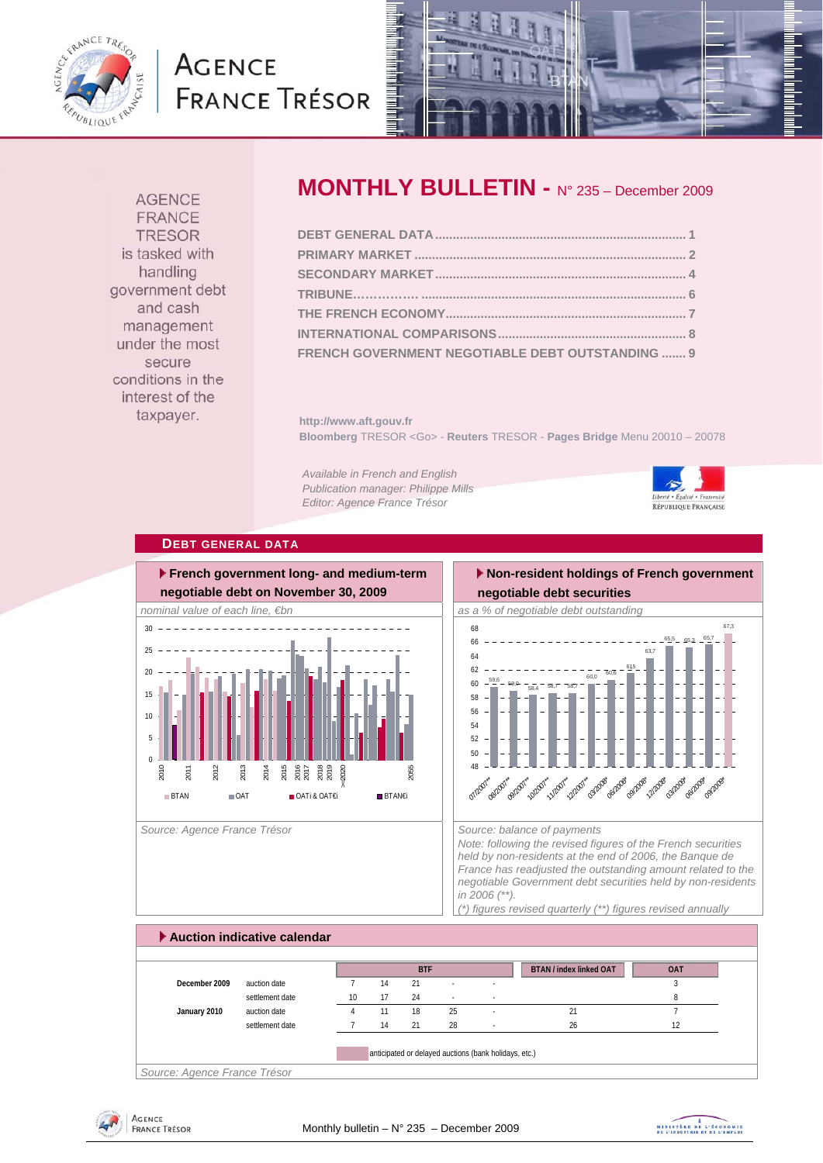

# **AGENCE FRANCE TRÉSOR**



**AGENCE FRANCE TRESOR** is tasked with handling government debt and cash management under the most secure conditions in the interest of the taxpayer.

# **MONTHLY BULLETIN -** N° 235 – December 2009

| FRENCH GOVERNMENT NEGOTIABLE DEBT OUTSTANDING  9 |  |
|--------------------------------------------------|--|

**http://www.aft.gouv.fr Bloomberg** TRESOR <Go> - **Reuters** TRESOR - **Pages Bridge** Menu 20010 – 20078

*Available in French and English Publication manager: Philippe Mills Editor: Agence France Trésor* 



#### **DEBT GENERAL DATA**



Source: Agence France Trésor **Source: balance of payments** Source: balance of payments

#### **Non-resident holdings of French government negotiable debt securities**



*Note: following the revised figures of the French securities held by non-residents at the end of 2006, the Banque de France has readjusted the outstanding amount related to the negotiable Government debt securities held by non-residents in 2006 (\*\*).* 

*(\*) figures revised quarterly (\*\*) figures revised annually* 

# **Auction indicative calendar BTAN / index linked OAT OAT December 2009** auction date 7 14 21 - 3 3 settlement date 10 17 24 - Annual 20 and 20 annual 20 annual 20 annual 20 annual 20 annual 20 annual 20 annual 20 annual 20 annual 20 annual 20 annual 20 annual 20 annual 20 annual 20 annual 20 annual 20 annual 20 annual 2 **January 2010** auction date 4 11 18 25 - 21 21 7 settlement date  $\begin{array}{ccc} 7 & 14 & 21 & 28 & - & 26 \end{array}$  26 anticipated or delayed auctions (bank holidays, etc.) **BTF**

*Source: Agence France Trésor* 

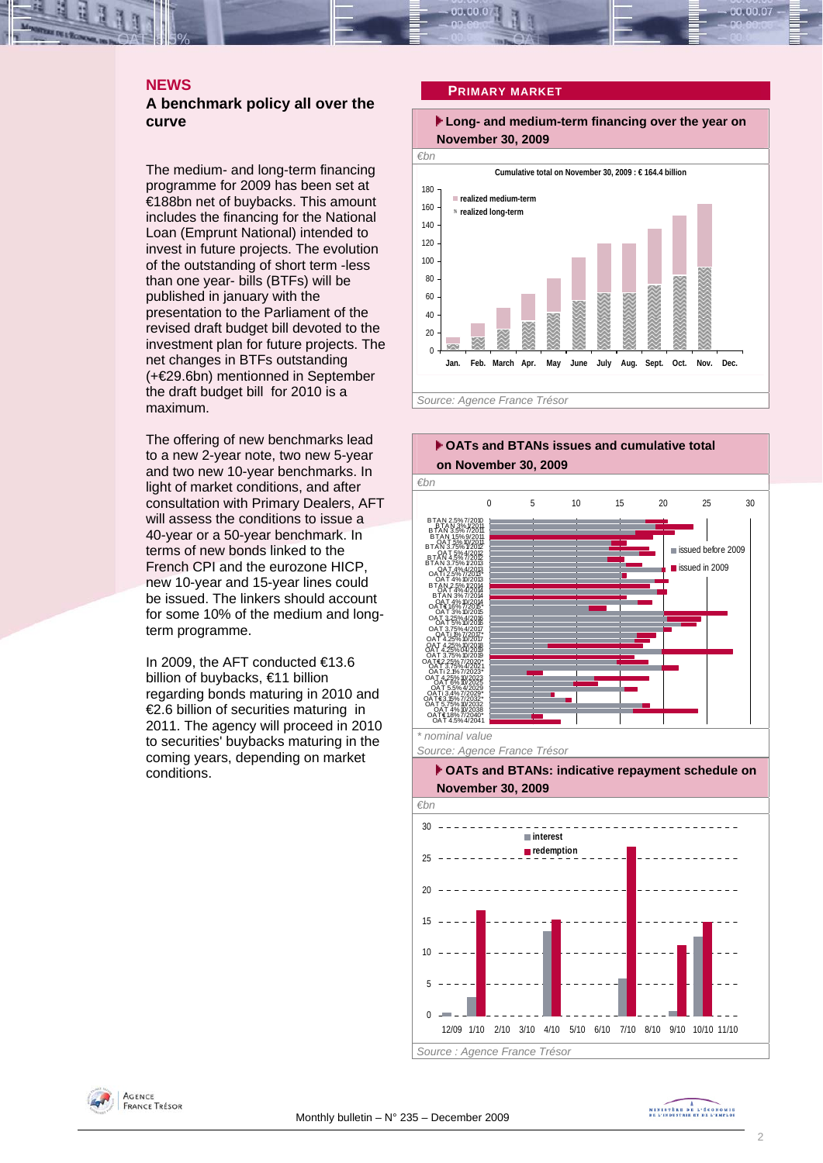### **NEWS**

#### **A benchmark policy all over the curve**

The medium- and long-term financing programme for 2009 has been set at €188bn net of buybacks. This amount includes the financing for the National Loan (Emprunt National) intended to invest in future projects. The evolution of the outstanding of short term -less than one year- bills (BTFs) will be published in january with the presentation to the Parliament of the revised draft budget bill devoted to the investment plan for future projects. The net changes in BTFs outstanding (+€29.6bn) mentionned in September the draft budget bill for 2010 is a maximum.

The offering of new benchmarks lead to a new 2-year note, two new 5-year and two new 10-year benchmarks. In light of market conditions, and after consultation with Primary Dealers, AFT will assess the conditions to issue a 40-year or a 50-year benchmark. In terms of new bonds linked to the French CPI and the eurozone HICP, new 10-year and 15-year lines could be issued. The linkers should account for some 10% of the medium and longterm programme.

In 2009, the AFT conducted €13.6 billion of buybacks, €11 billion regarding bonds maturing in 2010 and €2.6 billion of securities maturing in 2011. The agency will proceed in 2010 to securities' buybacks maturing in the coming years, depending on market conditions.

**PRIMARY MARKET**

 **Long- and medium-term financing over the year on November 30, 2009** 







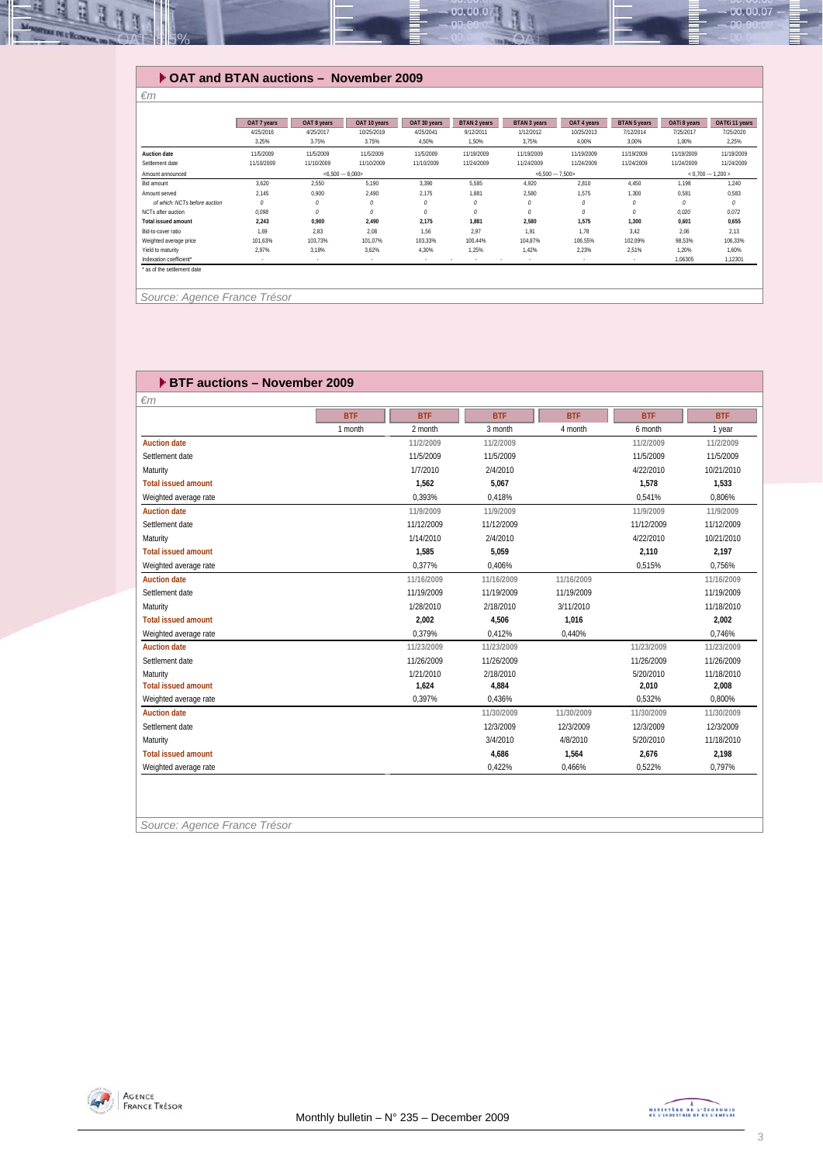

## **OAT and BTAN auctions – November 2009**

|                               | OAT 7 years | OAT 8 years       | OAT 10 years | OAT 30 years | <b>BTAN 2 years</b>        | <b>BTAN 3 years</b> | OAT 4 years | <b>BTAN 5 years</b> | OATi 8 years        | OAT€i 11 years |  |
|-------------------------------|-------------|-------------------|--------------|--------------|----------------------------|---------------------|-------------|---------------------|---------------------|----------------|--|
|                               | 4/25/2016   | 4/25/2017         | 10/25/2019   | 4/25/2041    | 9/12/2011                  | 1/12/2012           | 10/25/2013  | 7/12/2014           | 7/25/2017           | 7/25/2020      |  |
|                               | 3.25%       | 3.75%             | 3.75%        | 4.50%        | 1,50%                      | 3.75%               | 4.00%       | 3.00%               | 1.00%               | 2,25%          |  |
| Auction date                  | 11/5/2009   | 11/5/2009         | 11/5/2009    | 11/5/2009    | 11/19/2009                 | 11/19/2009          | 11/19/2009  | 11/19/2009          | 11/19/2009          | 11/19/2009     |  |
| Settlement date               | 11/10/2009  | 11/10/2009        | 11/10/2009   | 11/10/2009   | 11/24/2009                 | 11/24/2009          | 11/24/2009  | 11/24/2009          | 11/24/2009          | 11/24/2009     |  |
| Amount announced              |             | $< 6.500 - 8.000$ |              |              |                            | $<6.500 - 7.500$    |             |                     | $< 0.700 - 1.200 >$ |                |  |
| Bid amount                    | 3.620       | 2,550             | 5.190        | 3,390        | 5,585                      | 4.920               | 2,810       | 4.450               | 1,198               | 1,240          |  |
| Amount served                 | 2.145       | 0.900             | 2.490        | 2.175        | 1.881                      | 2.580               | 1.575       | 1.300               | 0.581               | 0.583          |  |
| of which: NCTs before auction | 0           | 0                 | 0            | 0            | 0                          | $\theta$            | 0           | 0                   | 0                   | 0              |  |
| NCTs after auction            | 0.098       | $\theta$          | 0            | 0            | 0                          | $\theta$            | 0           | $\theta$            | 0.020               | 0.072          |  |
| <b>Total issued amount</b>    | 2,243       | 0.900             | 2.490        | 2,175        | 1,881                      | 2.580               | 1,575       | 1,300               | 0.601               | 0,655          |  |
| Bid-to-cover ratio            | 1.69        | 2.83              | 2.08         | 1.56         | 2.97                       | 1.91                | 1.78        | 3.42                | 2.06                | 2,13           |  |
| Weighted average price        | 101.63%     | 103,73%           | 101.07%      | 103,33%      | 100.44%                    | 104.87%             | 106,55%     | 102.09%             | 98,53%              | 106,33%        |  |
| Yield to maturity             | 2.97%       | 3.18%             | 3.62%        | 4,30%        | 1.25%                      | 1.42%               | 2.23%       | 2.51%               | 1.20%               | 1.60%          |  |
| Indexation coefficient*       |             |                   | $\sim$       | $\sim$       | $\sim$<br>$\sim$<br>$\sim$ |                     | $\sim$      | $\sim$              | 1.06305             | 1,12301        |  |

 *Source: Agence France Trésor* 

*€m* 

| <b>EXTERNATION END BRACK PROPERTY AND FINDING PROPERTY</b> |            |            |            |            |            |            |
|------------------------------------------------------------|------------|------------|------------|------------|------------|------------|
| $\epsilon$ m                                               |            |            |            |            |            |            |
|                                                            | <b>BTF</b> | <b>BTF</b> | <b>BTF</b> | <b>BTF</b> | <b>BTF</b> | <b>BTF</b> |
|                                                            | 1 month    | 2 month    | 3 month    | 4 month    | 6 month    | 1 year     |
| <b>Auction date</b>                                        |            | 11/2/2009  | 11/2/2009  |            | 11/2/2009  | 11/2/2009  |
| Settlement date                                            |            | 11/5/2009  | 11/5/2009  |            | 11/5/2009  | 11/5/2009  |
| Maturity                                                   |            | 1/7/2010   | 2/4/2010   |            | 4/22/2010  | 10/21/2010 |
| <b>Total issued amount</b>                                 |            | 1,562      | 5,067      |            | 1,578      | 1,533      |
| Weighted average rate                                      |            | 0,393%     | 0,418%     |            | 0,541%     | 0,806%     |
| <b>Auction date</b>                                        |            | 11/9/2009  | 11/9/2009  |            | 11/9/2009  | 11/9/2009  |
| Settlement date                                            |            | 11/12/2009 | 11/12/2009 |            | 11/12/2009 | 11/12/2009 |
| Maturity                                                   |            | 1/14/2010  | 2/4/2010   |            | 4/22/2010  | 10/21/2010 |
| <b>Total issued amount</b>                                 |            | 1,585      | 5,059      |            | 2,110      | 2,197      |
| Weighted average rate                                      |            | 0,377%     | 0,406%     |            | 0,515%     | 0,756%     |
| <b>Auction date</b>                                        |            | 11/16/2009 | 11/16/2009 | 11/16/2009 |            | 11/16/2009 |
| Settlement date                                            |            | 11/19/2009 | 11/19/2009 | 11/19/2009 |            | 11/19/2009 |
| Maturity                                                   |            | 1/28/2010  | 2/18/2010  | 3/11/2010  |            | 11/18/2010 |
| <b>Total issued amount</b>                                 |            | 2,002      | 4,506      | 1,016      |            | 2,002      |
| Weighted average rate                                      |            | 0.379%     | 0,412%     | 0,440%     |            | 0.746%     |
| <b>Auction date</b>                                        |            | 11/23/2009 | 11/23/2009 |            | 11/23/2009 | 11/23/2009 |
| Settlement date                                            |            | 11/26/2009 | 11/26/2009 |            | 11/26/2009 | 11/26/2009 |
| Maturity                                                   |            | 1/21/2010  | 2/18/2010  |            | 5/20/2010  | 11/18/2010 |
| <b>Total issued amount</b>                                 |            | 1,624      | 4,884      |            | 2,010      | 2,008      |
| Weighted average rate                                      |            | 0.397%     | 0.436%     |            | 0.532%     | 0.800%     |
| <b>Auction date</b>                                        |            |            | 11/30/2009 | 11/30/2009 | 11/30/2009 | 11/30/2009 |
| Settlement date                                            |            |            | 12/3/2009  | 12/3/2009  | 12/3/2009  | 12/3/2009  |
| Maturity                                                   |            |            | 3/4/2010   | 4/8/2010   | 5/20/2010  | 11/18/2010 |
| <b>Total issued amount</b>                                 |            |            | 4,686      | 1.564      | 2.676      | 2,198      |
| Weighted average rate                                      |            |            | 0.422%     | 0.466%     | 0.522%     | 0.797%     |
|                                                            |            |            |            |            |            |            |
|                                                            |            |            |            |            |            |            |
|                                                            |            |            |            |            |            |            |

*Source: Agence France Trésor* 

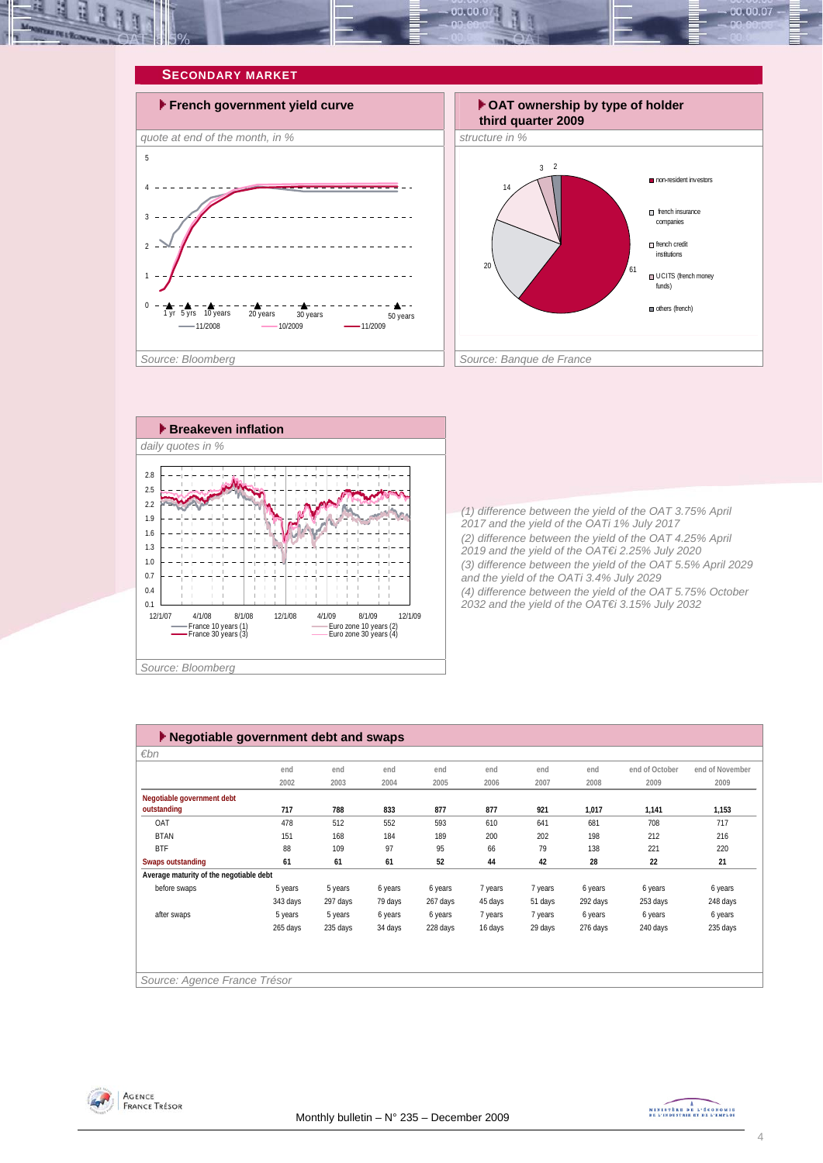







*(1) difference between the yield of the OAT 3.75% April 2017 and the yield of the OATi 1% July 2017 (2) difference between the yield of the OAT 4.25% April 2019 and the yield of the OAT€i 2.25% July 2020 (3) difference between the yield of the OAT 5.5% April 2029 and the yield of the OATi 3.4% July 2029 (4) difference between the yield of the OAT 5.75% October 2032 and the yield of the OAT€i 3.15% July 2032* 

| Negotiable government debt and swaps    |          |          |         |          |         |         |          |                |                 |
|-----------------------------------------|----------|----------|---------|----------|---------|---------|----------|----------------|-----------------|
| $\varepsilon$ bn                        |          |          |         |          |         |         |          |                |                 |
|                                         | end      | end      | end     | end      | end     | end     | end      | end of October | end of November |
|                                         | 2002     | 2003     | 2004    | 2005     | 2006    | 2007    | 2008     | 2009           | 2009            |
| Negotiable government debt              |          |          |         |          |         |         |          |                |                 |
| outstanding                             | 717      | 788      | 833     | 877      | 877     | 921     | 1,017    | 1,141          | 1,153           |
| OAT                                     | 478      | 512      | 552     | 593      | 610     | 641     | 681      | 708            | 717             |
| <b>BTAN</b>                             | 151      | 168      | 184     | 189      | 200     | 202     | 198      | 212            | 216             |
| <b>BTF</b>                              | 88       | 109      | 97      | 95       | 66      | 79      | 138      | 221            | 220             |
| <b>Swaps outstanding</b>                | 61       | 61       | 61      | 52       | 44      | 42      | 28       | 22             | 21              |
| Average maturity of the negotiable debt |          |          |         |          |         |         |          |                |                 |
| before swaps                            | 5 years  | 5 years  | 6 years | 6 years  | 7 years | 7 years | 6 years  | 6 years        | 6 years         |
|                                         | 343 days | 297 days | 79 days | 267 days | 45 days | 51 days | 292 days | 253 days       | 248 days        |
| after swaps                             | 5 years  | 5 years  | 6 years | 6 years  | 7 years | 7 years | 6 years  | 6 years        | 6 years         |
|                                         | 265 days | 235 days | 34 days | 228 days | 16 days | 29 days | 276 days | 240 days       | 235 days        |
|                                         |          |          |         |          |         |         |          |                |                 |
|                                         |          |          |         |          |         |         |          |                |                 |
|                                         |          |          |         |          |         |         |          |                |                 |
| Source: Agence France Trésor            |          |          |         |          |         |         |          |                |                 |



MINISTÈRE DE L'ÉCONOMIE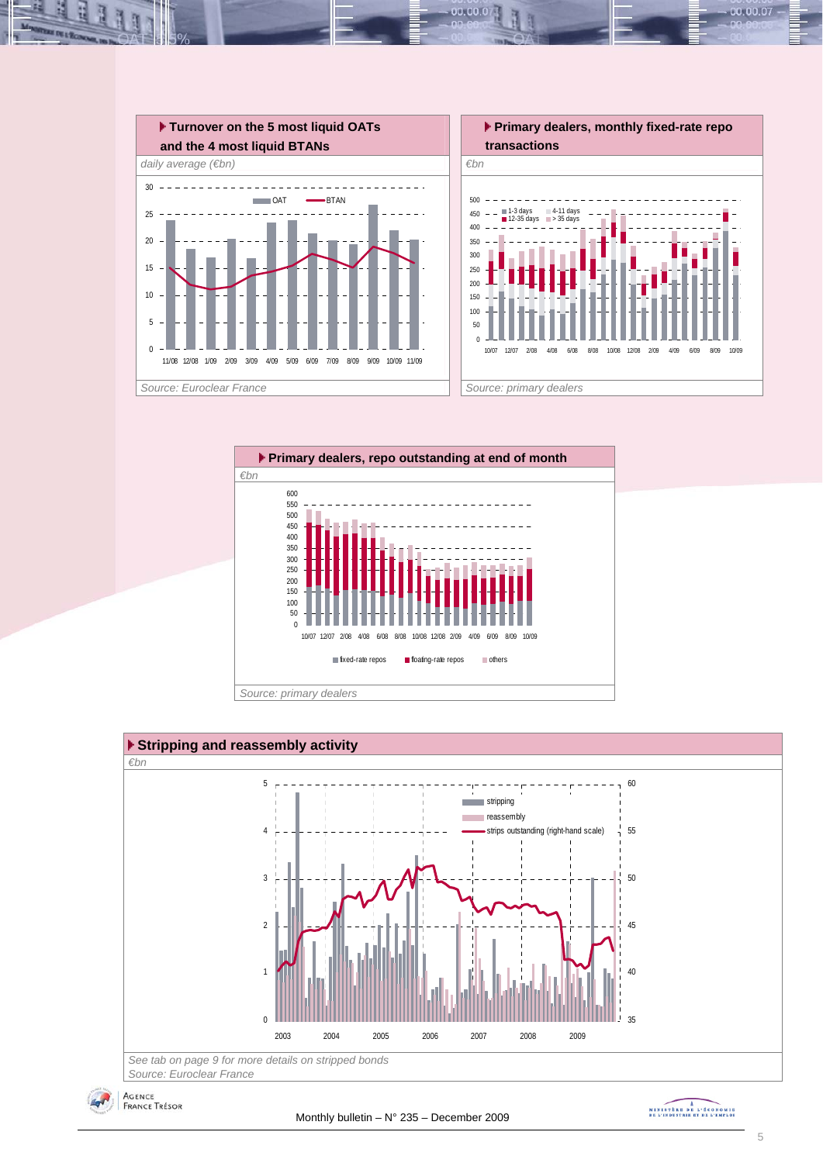

 $00.00.0$ 







MINISTRE DE L'ÉCONOMIE

00.00.07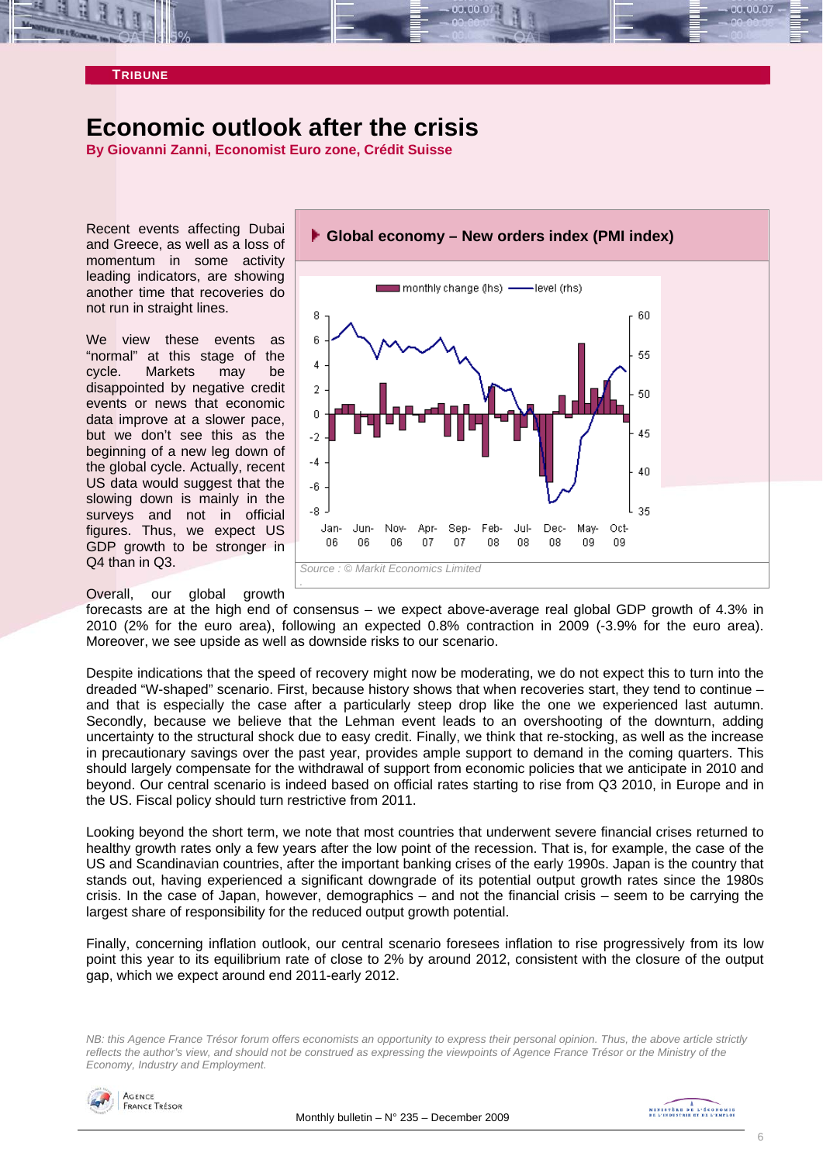

# **Economic outlook after the crisis**

**By Giovanni Zanni, Economist Euro zone, Crédit Suisse** 

Recent events affecting Dubai and Greece, as well as a loss of momentum in some activity leading indicators, are showing another time that recoveries do not run in straight lines.

We view these events as "normal" at this stage of the cycle. Markets may be disappointed by negative credit events or news that economic data improve at a slower pace, but we don't see this as the beginning of a new leg down of the global cycle. Actually, recent US data would suggest that the slowing down is mainly in the surveys and not in official figures. Thus, we expect US GDP growth to be stronger in Q4 than in Q3.

Overall, our global growth



forecasts are at the high end of consensus – we expect above-average real global GDP growth of 4.3% in 2010 (2% for the euro area), following an expected 0.8% contraction in 2009 (-3.9% for the euro area). Moreover, we see upside as well as downside risks to our scenario.

Despite indications that the speed of recovery might now be moderating, we do not expect this to turn into the dreaded "W-shaped" scenario. First, because history shows that when recoveries start, they tend to continue – and that is especially the case after a particularly steep drop like the one we experienced last autumn. Secondly, because we believe that the Lehman event leads to an overshooting of the downturn, adding uncertainty to the structural shock due to easy credit. Finally, we think that re-stocking, as well as the increase in precautionary savings over the past year, provides ample support to demand in the coming quarters. This should largely compensate for the withdrawal of support from economic policies that we anticipate in 2010 and beyond. Our central scenario is indeed based on official rates starting to rise from Q3 2010, in Europe and in the US. Fiscal policy should turn restrictive from 2011.

Looking beyond the short term, we note that most countries that underwent severe financial crises returned to healthy growth rates only a few years after the low point of the recession. That is, for example, the case of the US and Scandinavian countries, after the important banking crises of the early 1990s. Japan is the country that stands out, having experienced a significant downgrade of its potential output growth rates since the 1980s crisis. In the case of Japan, however, demographics – and not the financial crisis – seem to be carrying the largest share of responsibility for the reduced output growth potential.

Finally, concerning inflation outlook, our central scenario foresees inflation to rise progressively from its low point this year to its equilibrium rate of close to 2% by around 2012, consistent with the closure of the output gap, which we expect around end 2011-early 2012.

*NB: this Agence France Trésor forum offers economists an opportunity to express their personal opinion. Thus, the above article strictly reflects the author's view, and should not be construed as expressing the viewpoints of Agence France Trésor or the Ministry of the Economy, Industry and Employment.* 

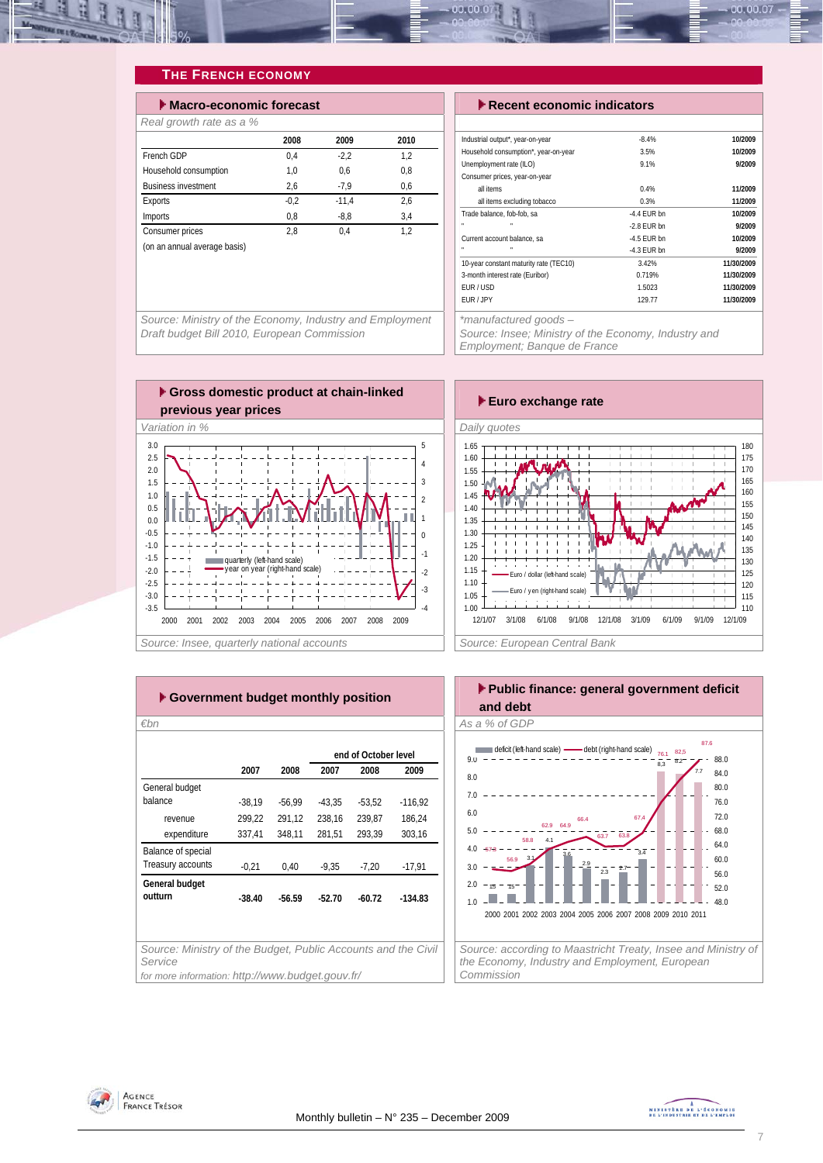

# **THE FRENCH ECONOMY**

| $\blacktriangleright$ Macro-economic forecast |        |         |      |  |  |  |  |  |
|-----------------------------------------------|--------|---------|------|--|--|--|--|--|
| Real growth rate as a %                       |        |         |      |  |  |  |  |  |
|                                               | 2008   | 2009    | 2010 |  |  |  |  |  |
| French GDP                                    | 0.4    | $-2.2$  | 1.2  |  |  |  |  |  |
| Household consumption                         | 1.0    | 0.6     | 0.8  |  |  |  |  |  |
| <b>Business investment</b>                    | 2,6    | $-7,9$  | 0.6  |  |  |  |  |  |
| Exports                                       | $-0.2$ | $-11.4$ | 2.6  |  |  |  |  |  |
| Imports                                       | 0.8    | $-8.8$  | 3.4  |  |  |  |  |  |
| Consumer prices                               | 2.8    | 0.4     | 1.2  |  |  |  |  |  |
| (on an annual average basis)                  |        |         |      |  |  |  |  |  |
|                                               |        |         |      |  |  |  |  |  |

**Execute economic indicators** 

| Industrial output*, year-on-year       | $-8.4%$       | 10/2009    |
|----------------------------------------|---------------|------------|
| Household consumption*, year-on-year   | 3.5%          | 10/2009    |
| Unemployment rate (ILO)                | 9.1%          | 9/2009     |
| Consumer prices, year-on-year          |               |            |
| all items                              | 0.4%          | 11/2009    |
| all items excluding tobacco            | 0.3%          | 11/2009    |
| Trade balance, fob-fob, sa             | $-4.4$ FUR bn | 10/2009    |
|                                        | $-2.8$ FUR bn | 9/2009     |
| Current account balance, sa            | $-4.5$ FUR bn | 10/2009    |
| n,<br>п                                | $-4.3$ EUR bn | 9/2009     |
| 10-year constant maturity rate (TEC10) | 3.42%         | 11/30/2009 |
| 3-month interest rate (Euribor)        | 0.719%        | 11/30/2009 |
| EUR/USD                                | 1.5023        | 11/30/2009 |
| EUR / JPY                              | 129.77        | 11/30/2009 |

*Source: Ministry of the Economy, Industry and Employment Draft budget Bill 2010, European Commission* 

*Source: Insee; Ministry of the Economy, Industry and* 

*Employment; Banque de France* 



| Government budget monthly position                                       |          |          |          |                      |           |  |  |  |  |  |
|--------------------------------------------------------------------------|----------|----------|----------|----------------------|-----------|--|--|--|--|--|
| €bn                                                                      |          |          |          |                      |           |  |  |  |  |  |
|                                                                          |          |          |          | end of October level |           |  |  |  |  |  |
|                                                                          | 2007     | 2008     | 2007     | 2008                 | 2009      |  |  |  |  |  |
| General budget                                                           |          |          |          |                      |           |  |  |  |  |  |
| balance                                                                  | $-38,19$ | $-56,99$ | $-43.35$ | $-53,52$             | $-116,92$ |  |  |  |  |  |
| revenue                                                                  | 299.22   | 291,12   | 238.16   | 239.87               | 186.24    |  |  |  |  |  |
| expenditure                                                              | 337,41   | 348,11   | 281,51   | 293.39               | 303,16    |  |  |  |  |  |
| Balance of special                                                       |          |          |          |                      |           |  |  |  |  |  |
| Treasury accounts                                                        | $-0,21$  | 0,40     | $-9.35$  | $-7.20$              | $-17,91$  |  |  |  |  |  |
| General budget                                                           |          |          |          |                      |           |  |  |  |  |  |
| outturn                                                                  | $-38.40$ | $-56.59$ | $-52.70$ | $-60.72$             | $-134.83$ |  |  |  |  |  |
|                                                                          |          |          |          |                      |           |  |  |  |  |  |
|                                                                          |          |          |          |                      |           |  |  |  |  |  |
| Source: Ministry of the Budget, Public Accounts and the Civil<br>Service |          |          |          |                      |           |  |  |  |  |  |
| for more information: http://www.budget.gouv.fr/                         |          |          |          |                      |           |  |  |  |  |  |





AGENCE **FRANCE TRÉSOR**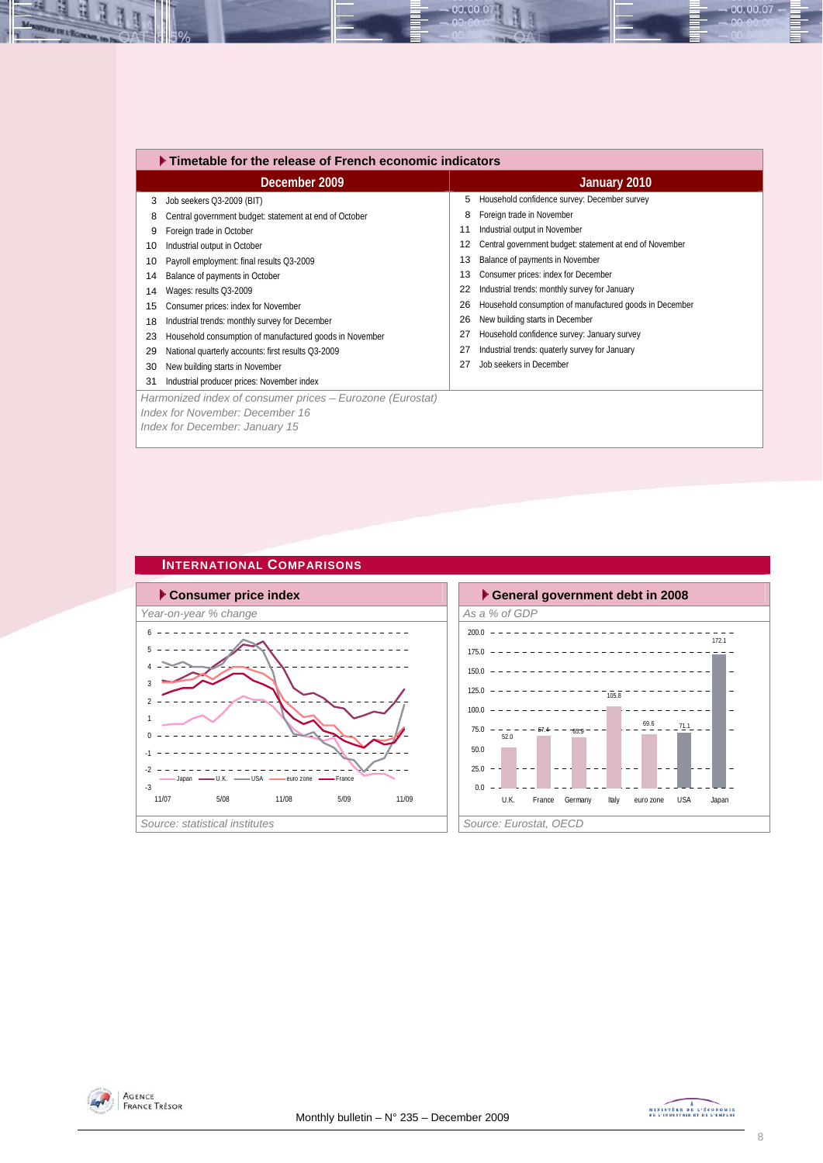|    | ▶ Timetable for the release of French economic indicators                                                                      |    |                                                         |  |  |  |  |  |
|----|--------------------------------------------------------------------------------------------------------------------------------|----|---------------------------------------------------------|--|--|--|--|--|
|    | December 2009                                                                                                                  |    | January 2010                                            |  |  |  |  |  |
| 3  | Job seekers Q3-2009 (BIT)                                                                                                      | 5  | Household confidence survey: December survey            |  |  |  |  |  |
| 8  | Central government budget: statement at end of October                                                                         | 8  | Foreign trade in November                               |  |  |  |  |  |
| 9  | Foreign trade in October                                                                                                       | 11 | Industrial output in November                           |  |  |  |  |  |
| 10 | Industrial output in October                                                                                                   | 12 | Central government budget: statement at end of November |  |  |  |  |  |
| 10 | Payroll employment: final results Q3-2009                                                                                      | 13 | Balance of payments in November                         |  |  |  |  |  |
| 14 | Balance of payments in October                                                                                                 | 13 | Consumer prices: index for December                     |  |  |  |  |  |
| 14 | Wages: results Q3-2009                                                                                                         | 22 | Industrial trends: monthly survey for January           |  |  |  |  |  |
| 15 | Consumer prices: index for November                                                                                            | 26 | Household consumption of manufactured goods in December |  |  |  |  |  |
| 18 | Industrial trends: monthly survey for December                                                                                 | 26 | New building starts in December                         |  |  |  |  |  |
| 23 | Household consumption of manufactured goods in November                                                                        | 27 | Household confidence survey: January survey             |  |  |  |  |  |
| 29 | National quarterly accounts: first results Q3-2009                                                                             | 27 | Industrial trends: quaterly survey for January          |  |  |  |  |  |
| 30 | New building starts in November                                                                                                | 27 | Job seekers in December                                 |  |  |  |  |  |
| 31 | Industrial producer prices: November index                                                                                     |    |                                                         |  |  |  |  |  |
|    | Harmonized index of consumer prices – Eurozone (Eurostat)<br>Index for November: December 16<br>Index for December: January 15 |    |                                                         |  |  |  |  |  |

00.00.07

#### **INTERNATIONAL COMPARISONS**







00.00.07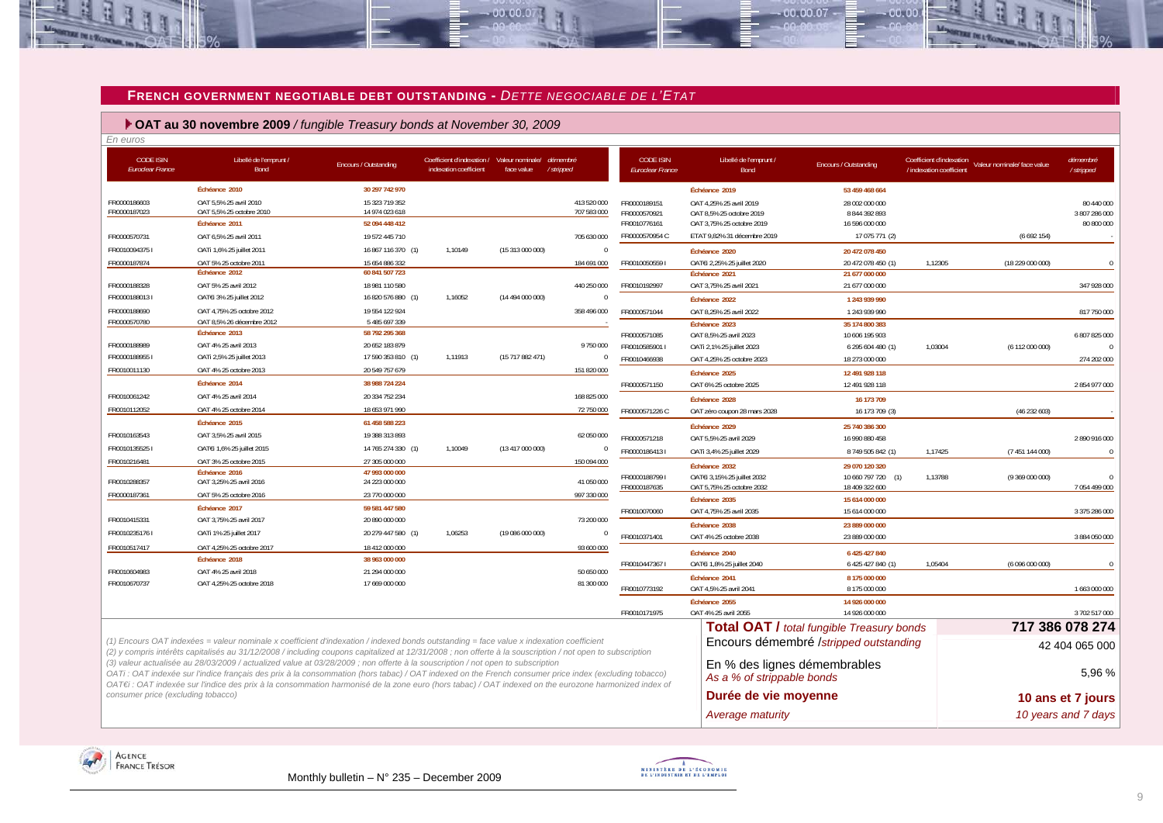

 $-00,00,00$ 

 **OAT au 30 novembre 2009** */ fungible Treasury bonds at November 30, 2009*

| En euros                                    |                                                                                                                                                                                                                                                                                                                                                                                                                                                 |                                  |                                                                                |                  |                |                                      |                                                            |                                                  |                                                      |                             |                             |
|---------------------------------------------|-------------------------------------------------------------------------------------------------------------------------------------------------------------------------------------------------------------------------------------------------------------------------------------------------------------------------------------------------------------------------------------------------------------------------------------------------|----------------------------------|--------------------------------------------------------------------------------|------------------|----------------|--------------------------------------|------------------------------------------------------------|--------------------------------------------------|------------------------------------------------------|-----------------------------|-----------------------------|
| <b>CODE ISIN</b><br><b>Euroclear France</b> | Libellé de l'emprunt /<br>Bond                                                                                                                                                                                                                                                                                                                                                                                                                  | Encours / Outstanding            | Coefficient d'indexation / Valeur nominale/ démembré<br>indexation coefficient | face value       | /stripped      | <b>CODE ISIN</b><br>Euroclear France | Libellé de l'emprunt /<br><b>Bond</b>                      | Encours / Outstanding                            | Coefficient d'indexation<br>/ indexation coefficient | Valeur nominale/ face value | démembré<br>/stripped       |
|                                             | Échéance 2010                                                                                                                                                                                                                                                                                                                                                                                                                                   | 30 297 742 970                   |                                                                                |                  |                |                                      | Échéance 2019                                              | 53 459 468 664                                   |                                                      |                             |                             |
| FR0000186603                                | OAT 5,5% 25 avril 2010                                                                                                                                                                                                                                                                                                                                                                                                                          | 15 323 719 352                   |                                                                                |                  | 413 520 000    | FR0000189151                         | OAT 4.25% 25 avril 2019                                    | 28 002 000 000                                   |                                                      |                             | 80 440 000                  |
| FR0000187023                                | OAT 5,5% 25 octobre 2010                                                                                                                                                                                                                                                                                                                                                                                                                        | 14 974 023 618                   |                                                                                |                  | 707 583 000    | FR0000570921                         | OAT 8,5% 25 octobre 2019                                   | 8 844 392 893                                    |                                                      |                             | 3 807 286 000               |
|                                             | Échéance 2011                                                                                                                                                                                                                                                                                                                                                                                                                                   | 52 094 448 412                   |                                                                                |                  |                | FR0010776161                         | OAT 3,75% 25 octobre 2019                                  | 16 596 000 000                                   |                                                      |                             | 80 800 000                  |
| FR0000570731                                | OAT 6,5% 25 avril 2011                                                                                                                                                                                                                                                                                                                                                                                                                          | 19 572 445 710                   |                                                                                |                  | 705 630 000    | FR0000570954 C                       | ETAT 9,82% 31 décembre 2019                                | 17 075 771 (2)                                   |                                                      | (6692154)                   |                             |
| FR00100943751                               | OATi 1,6% 25 juillet 2011                                                                                                                                                                                                                                                                                                                                                                                                                       | 16 867 116 370 (1)               | 1,10149                                                                        | (15 313 000 000) | $\Omega$       |                                      | Échéance 2020                                              | 20 472 078 450                                   |                                                      |                             |                             |
| FR0000187874                                | OAT 5% 25 octobre 2011                                                                                                                                                                                                                                                                                                                                                                                                                          | 15 654 886 332                   |                                                                                |                  | 184 691 000    | FR00100505591                        | OAT€i 2,25% 25 juillet 2020                                | 20 472 078 450 (1)                               | 1,12305                                              | (18 229 000 000)            | $\mathfrak{c}$              |
|                                             | Échéance 2012                                                                                                                                                                                                                                                                                                                                                                                                                                   | 60 841 507 723                   |                                                                                |                  |                |                                      | Échéance 2021                                              | 21 677 000 000                                   |                                                      |                             |                             |
| FR0000188328                                | OAT 5% 25 avril 2012                                                                                                                                                                                                                                                                                                                                                                                                                            | 18 981 110 580                   |                                                                                |                  | 440 250 000    | FR0010192997                         | OAT 3,75% 25 avril 2021                                    | 21 677 000 000                                   |                                                      |                             | 347 928 000                 |
| FR00001880131                               | OATEI 3% 25 juillet 2012                                                                                                                                                                                                                                                                                                                                                                                                                        | 16 820 576 880 (1)               | 1,16052                                                                        | (14 494 000 000) | $\Omega$       |                                      | Échéance 2022                                              | 1 243 939 990                                    |                                                      |                             |                             |
| FR0000188690                                | OAT 4.75% 25 octobre 2012                                                                                                                                                                                                                                                                                                                                                                                                                       | 19 554 122 924                   |                                                                                |                  | 358 496 000    | FR0000571044                         | OAT 8,25% 25 avril 2022                                    | 1 243 939 990                                    |                                                      |                             | 817 750 000                 |
| FR0000570780                                | OAT 8,5% 26 décembre 2012<br>Échéance 2013                                                                                                                                                                                                                                                                                                                                                                                                      | 5 485 697 339<br>58 792 295 368  |                                                                                |                  |                |                                      | Échéance 2023                                              | 35 174 800 383                                   |                                                      |                             |                             |
| FR0000188989                                | OAT 4% 25 avril 2013                                                                                                                                                                                                                                                                                                                                                                                                                            | 20 652 183 879                   |                                                                                |                  | 9750000        | FR0000571085                         | OAT 8,5% 25 avril 2023                                     | 10 606 195 903                                   |                                                      |                             | 6 807 825 000<br>$\sqrt{ }$ |
| FR00001889551                               | OATi 2,5% 25 juillet 2013                                                                                                                                                                                                                                                                                                                                                                                                                       | 17 590 353 810 (1)               | 1,11913                                                                        | (15717882471)    | $\mathbf{0}$   | FR0010585901 I<br>FR0010466938       | OATi 2,1% 25 juillet 2023                                  | 6 295 604 480 (1)                                | 1,03004                                              | (6112000000)                |                             |
| FR0010011130                                | OAT 4% 25 octobre 2013                                                                                                                                                                                                                                                                                                                                                                                                                          | 20 549 757 679                   |                                                                                |                  | 151 820 000    |                                      | OAT 4,25% 25 octobre 2023                                  | 18 273 000 000                                   |                                                      |                             | 274 202 000                 |
|                                             | Échéance 2014                                                                                                                                                                                                                                                                                                                                                                                                                                   | 38 988 724 224                   |                                                                                |                  |                |                                      | Échéance 2025                                              | 12 491 928 118                                   |                                                      |                             |                             |
| FR0010061242                                | OAT 4% 25 avril 2014                                                                                                                                                                                                                                                                                                                                                                                                                            | 20 334 752 234                   |                                                                                |                  | 168 825 000    | FR0000571150                         | OAT 6% 25 octobre 2025                                     | 12 491 928 118                                   |                                                      |                             | 2854977000                  |
| FR0010112052                                | OAT 4% 25 octobre 2014                                                                                                                                                                                                                                                                                                                                                                                                                          | 18 653 971 990                   |                                                                                |                  | 72 750 000     |                                      | Échéance 2028                                              | 16 173 709                                       |                                                      |                             |                             |
|                                             | Échéance 2015                                                                                                                                                                                                                                                                                                                                                                                                                                   |                                  |                                                                                |                  |                | FR0000571226 C                       | OAT zéro coupon 28 mars 2028                               | 16 173 709 (3)                                   |                                                      | (46232603)                  |                             |
|                                             |                                                                                                                                                                                                                                                                                                                                                                                                                                                 | 61 458 588 223                   |                                                                                |                  |                |                                      | Échéance 2029                                              | 25 740 386 300                                   |                                                      |                             |                             |
| FR0010163543                                | OAT 3,5% 25 avril 2015                                                                                                                                                                                                                                                                                                                                                                                                                          | 19 388 313 893                   |                                                                                |                  | 62 050 000     | FR0000571218                         | OAT 5,5% 25 avril 2029                                     | 16 990 880 458                                   |                                                      |                             | 2890916000                  |
| FR00101355251                               | OATEI 1,6% 25 juillet 2015                                                                                                                                                                                                                                                                                                                                                                                                                      | 14 765 274 330 (1)               | 1,10049                                                                        | (13417000000)    | $\overline{0}$ | FR00001864131                        | OATi 3,4% 25 juillet 2029                                  | 8 749 505 842 (1)                                | 1,17425                                              | (7 451 144 000)             | $\overline{0}$              |
| FR0010216481                                | OAT 3% 25 octobre 2015<br>Échéance 2016                                                                                                                                                                                                                                                                                                                                                                                                         | 27 305 000 000<br>47 993 000 000 |                                                                                |                  | 150 094 000    |                                      | Échéance 2032                                              | 29 070 120 320                                   |                                                      |                             |                             |
| FR0010288357                                | OAT 3,25% 25 avril 2016                                                                                                                                                                                                                                                                                                                                                                                                                         | 24 223 000 000                   |                                                                                |                  | 41 050 000     | FR00001887991                        | OATEi 3,15% 25 juillet 2032                                | 10 660 797 720<br>(1)                            | 1,13788                                              | (9369000000)                |                             |
| FR0000187361                                | OAT 5% 25 octobre 2016                                                                                                                                                                                                                                                                                                                                                                                                                          | 23 770 000 000                   |                                                                                |                  | 997 330 000    | FR0000187635                         | OAT 5,75% 25 octobre 2032                                  | 18 409 322 600                                   |                                                      |                             | 7054499000                  |
|                                             | Échéance 2017                                                                                                                                                                                                                                                                                                                                                                                                                                   | 59 581 447 580                   |                                                                                |                  |                |                                      | Échéance 2035                                              | 15 614 000 000                                   |                                                      |                             |                             |
| FR0010415331                                | OAT 3,75% 25 avril 2017                                                                                                                                                                                                                                                                                                                                                                                                                         | 20 890 000 000                   |                                                                                |                  | 73 200 000     | FR0010070060                         | OAT 4,75% 25 avril 2035                                    | 15 614 000 000                                   |                                                      |                             | 3 375 286 000               |
| FR00102351761                               | OATi 1% 25 juillet 2017                                                                                                                                                                                                                                                                                                                                                                                                                         | 20 279 447 580 (1)               | 1,06253                                                                        | (19 086 000 000) | $\overline{0}$ | FR0010371401                         | Échéance 2038                                              | 23 889 000 000                                   |                                                      |                             |                             |
| FR0010517417                                | OAT 4,25% 25 octobre 2017                                                                                                                                                                                                                                                                                                                                                                                                                       | 18 412 000 000                   |                                                                                |                  | 93 600 000     |                                      | OAT 4% 25 octobre 2038                                     | 23 889 000 000                                   |                                                      |                             | 3 884 050 000               |
|                                             | Échéance 2018                                                                                                                                                                                                                                                                                                                                                                                                                                   | 38 963 000 000                   |                                                                                |                  |                |                                      | Échéance 2040                                              | 6 425 427 840                                    |                                                      |                             |                             |
| FR0010604983                                | OAT 4% 25 avril 2018                                                                                                                                                                                                                                                                                                                                                                                                                            | 21 294 000 000                   |                                                                                |                  | 50 650 000     | FR00104473671                        | OATEi 1,8% 25 juillet 2040                                 | 6 425 427 840 (1)                                | 1,05404                                              | (6096000000)                |                             |
| FR0010670737                                | OAT 4,25% 25 octobre 2018                                                                                                                                                                                                                                                                                                                                                                                                                       | 17 669 000 000                   |                                                                                |                  | 81 300 000     |                                      | Échéance 2041                                              | 8 175 000 000                                    |                                                      |                             |                             |
|                                             |                                                                                                                                                                                                                                                                                                                                                                                                                                                 |                                  |                                                                                |                  |                | FR0010773192                         | OAT 4.5% 25 avril 2041                                     | 8 175 000 000                                    |                                                      |                             | 1 663 000 000               |
|                                             |                                                                                                                                                                                                                                                                                                                                                                                                                                                 |                                  |                                                                                |                  |                |                                      | Échéance 2055                                              | 14 926 000 000                                   |                                                      |                             |                             |
|                                             |                                                                                                                                                                                                                                                                                                                                                                                                                                                 |                                  |                                                                                |                  |                | FR0010171975                         | OAT 4% 25 avril 2055                                       | 14 926 000 000                                   |                                                      |                             | 3 702 517 000               |
|                                             |                                                                                                                                                                                                                                                                                                                                                                                                                                                 |                                  |                                                                                |                  |                |                                      |                                                            | <b>Total OAT / total fungible Treasury bonds</b> |                                                      |                             | 717 386 078 274             |
|                                             | (1) Encours OAT indexées = valeur nominale x coefficient d'indexation / indexed bonds outstanding = face value x indexation coefficient<br>(2) y compris intérêts capitalisés au 31/12/2008 / including coupons capitalized at 12/31/2008 ; non offerte à la souscription / not open to subscription                                                                                                                                            |                                  |                                                                                |                  |                |                                      |                                                            | Encours démembré /stripped outstanding           |                                                      |                             | 42 404 065 000              |
|                                             | (3) valeur actualisée au 28/03/2009 / actualized value at 03/28/2009 ; non offerte à la souscription / not open to subscription<br>OATi: OAT indexée sur l'indice français des prix à la consommation (hors tabac) / OAT indexed on the French consumer price index (excluding tobacco)<br>OAT€i : OAT indexée sur l'indice des prix à la consommation harmonisé de la zone euro (hors tabac) / OAT indexed on the eurozone harmonized index of |                                  |                                                                                |                  |                |                                      | En % des lignes démembrables<br>As a % of strippable bonds |                                                  |                                                      |                             | 5,96 %                      |
| consumer price (excluding tobacco)          |                                                                                                                                                                                                                                                                                                                                                                                                                                                 |                                  |                                                                                |                  |                |                                      | Durée de vie moyenne                                       |                                                  |                                                      |                             | 10 ans et 7 jours           |
|                                             |                                                                                                                                                                                                                                                                                                                                                                                                                                                 |                                  |                                                                                |                  |                |                                      | Average maturity                                           |                                                  |                                                      |                             | 10 years and 7 days         |





 $.00, 00, 07$ 

nn nn